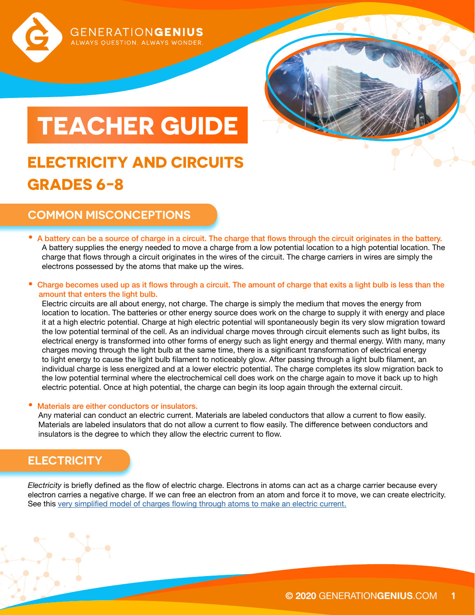

# **COMMON MISCONCEPTIONS**

**GRADES 6-8**

- A battery can be a source of charge in a circuit. The charge that flows through the circuit originates in the battery. A battery supplies the energy needed to move a charge from a low potential location to a high potential location. The charge that flows through a circuit originates in the wires of the circuit. The charge carriers in wires are simply the electrons possessed by the atoms that make up the wires.
- Charge becomes used up as it flows through a circuit. The amount of charge that exits a light bulb is less than the amount that enters the light bulb.

Electric circuits are all about energy, not charge. The charge is simply the medium that moves the energy from location to location. The batteries or other energy source does work on the charge to supply it with energy and place it at a high electric potential. Charge at high electric potential will spontaneously begin its very slow migration toward the low potential terminal of the cell. As an individual charge moves through circuit elements such as light bulbs, its electrical energy is transformed into other forms of energy such as light energy and thermal energy. With many, many charges moving through the light bulb at the same time, there is a significant transformation of electrical energy to light energy to cause the light bulb filament to noticeably glow. After passing through a light bulb filament, an individual charge is less energized and at a lower electric potential. The charge completes its slow migration back to the low potential terminal where the electrochemical cell does work on the charge again to move it back up to high electric potential. Once at high potential, the charge can begin its loop again through the external circuit.

### • Materials are either conductors or insulators.

Any material can conduct an electric current. Materials are labeled conductors that allow a current to flow easily. Materials are labeled insulators that do not allow a current to flow easily. The difference between conductors and insulators is the degree to which they allow the electric current to flow.

# **ELECTRICITY**

*Electricity* is briefly defined as the flow of electric charge. Electrons in atoms can act as a charge carrier because every electron carries a negative charge. If we can free an electron from an atom and force it to move, we can create electricity. See this [very simplified model of charges flowing through atoms to make an electric current.](https://learn.sparkfun.com/tutorials/what-is-electricity#resources-and-going-further)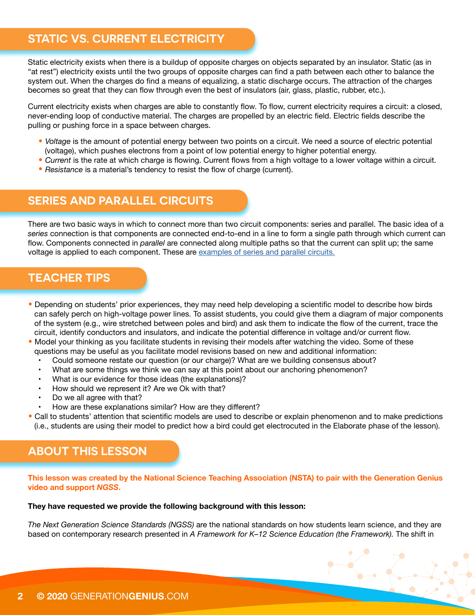# **STATIC VS. CURRENT ELECTRICITY**

Static electricity exists when there is a buildup of opposite charges on objects separated by an insulator. Static (as in "at rest") electricity exists until the two groups of opposite charges can find a path between each other to balance the system out. When the charges do find a means of equalizing, a static discharge occurs. The attraction of the charges becomes so great that they can flow through even the best of insulators (air, glass, plastic, rubber, etc.).

Current electricity exists when charges are able to constantly flow. To flow, current electricity requires a circuit: a closed, never-ending loop of conductive material. The charges are propelled by an electric field. Electric fields describe the pulling or pushing force in a space between charges.

- *Voltage* is the amount of potential energy between two points on a circuit. We need a source of electric potential (voltage), which pushes electrons from a point of low potential energy to higher potential energy.
- *Current* is the rate at which charge is flowing. Current flows from a high voltage to a lower voltage within a circuit.
- *Resistance* is a material's tendency to resist the flow of charge (current).

## **SERIES AND PARALLEL CIRCUITS**

There are two basic ways in which to connect more than two circuit components: series and parallel. The basic idea of a *series* connection is that components are connected end-to-end in a line to form a single path through which current can flow. Components connected in *parallel* are connected along multiple paths so that the current can split up; the same voltage is applied to each component. These are [examples of series and parallel circuits.](https://www.physicsclassroom.com/class/circuits/Lesson-4/Two-Types-of-Connections)

## **TEACHER TIPS**

- Depending on students' prior experiences, they may need help developing a scientific model to describe how birds can safely perch on high-voltage power lines. To assist students, you could give them a diagram of major components of the system (e.g., wire stretched between poles and bird) and ask them to indicate the flow of the current, trace the circuit, identify conductors and insulators, and indicate the potential difference in voltage and/or current flow.
- Model your thinking as you facilitate students in revising their models after watching the video. Some of these questions may be useful as you facilitate model revisions based on new and additional information:
	- Could someone restate our question (or our charge)? What are we building consensus about?
	- What are some things we think we can say at this point about our anchoring phenomenon?
	- What is our evidence for those ideas (the explanations)?
	- How should we represent it? Are we Ok with that?
	- Do we all agree with that?
	- How are these explanations similar? How are they different?
- Call to students' attention that scientific models are used to describe or explain phenomenon and to make predictions (i.e., students are using their model to predict how a bird could get electrocuted in the Elaborate phase of the lesson).

### **ABOUT THIS LESSON**

**This lesson was created by the National Science Teaching Association (NSTA) to pair with the Generation Genius video and support** *NGSS***.** 

#### **They have requested we provide the following background with this lesson:**

*The Next Generation Science Standards (NGSS)* are the national standards on how students learn science, and they are based on contemporary research presented in *A Framework for K–12 Science Education (the Framework).* The shift in